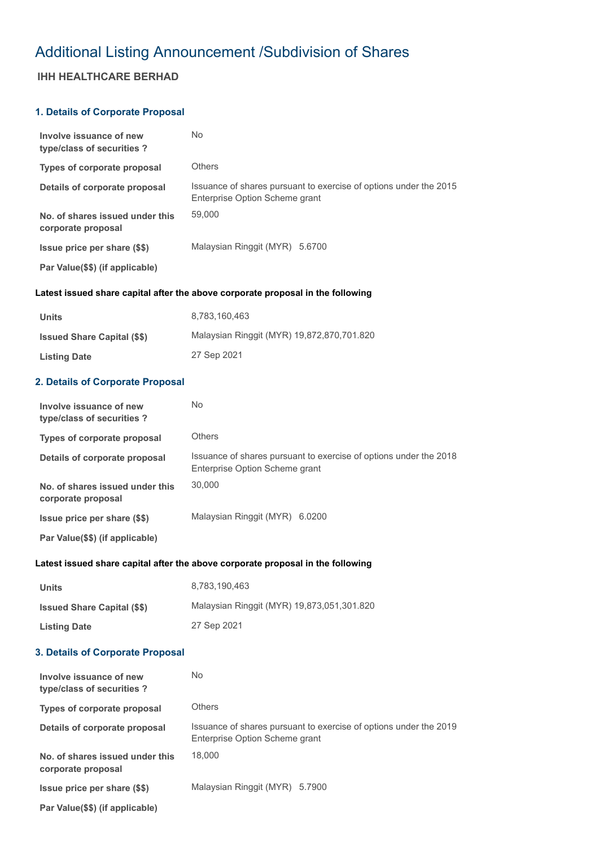# Additional Listing Announcement /Subdivision of Shares

## **IHH HEALTHCARE BERHAD**

## **1. Details of Corporate Proposal**

| Involve issuance of new<br>type/class of securities?  | No                                                                                                  |
|-------------------------------------------------------|-----------------------------------------------------------------------------------------------------|
| Types of corporate proposal                           | Others                                                                                              |
| Details of corporate proposal                         | Issuance of shares pursuant to exercise of options under the 2015<br>Enterprise Option Scheme grant |
| No. of shares issued under this<br>corporate proposal | 59,000                                                                                              |
| <b>Issue price per share (\$\$)</b>                   | Malaysian Ringgit (MYR) 5.6700                                                                      |
| Par Value(\$\$) (if applicable)                       |                                                                                                     |

#### **Latest issued share capital after the above corporate proposal in the following**

| Units                              | 8.783.160.463                              |
|------------------------------------|--------------------------------------------|
| <b>Issued Share Capital (\$\$)</b> | Malaysian Ringgit (MYR) 19,872,870,701.820 |
| <b>Listing Date</b>                | 27 Sep 2021                                |

## **2. Details of Corporate Proposal**

| Involve issuance of new<br>type/class of securities?  | No                                                                                                  |
|-------------------------------------------------------|-----------------------------------------------------------------------------------------------------|
| Types of corporate proposal                           | <b>Others</b>                                                                                       |
| Details of corporate proposal                         | Issuance of shares pursuant to exercise of options under the 2018<br>Enterprise Option Scheme grant |
| No. of shares issued under this<br>corporate proposal | 30,000                                                                                              |
| Issue price per share (\$\$)                          | Malaysian Ringgit (MYR) 6.0200                                                                      |
| Par Value(\$\$) (if applicable)                       |                                                                                                     |

#### **Latest issued share capital after the above corporate proposal in the following**

| <b>Units</b>                       | 8.783.190.463                              |
|------------------------------------|--------------------------------------------|
| <b>Issued Share Capital (\$\$)</b> | Malaysian Ringgit (MYR) 19,873,051,301.820 |
| <b>Listing Date</b>                | 27 Sep 2021                                |

#### **3. Details of Corporate Proposal**

| Involve issuance of new<br>type/class of securities?  | No                                                                                                  |
|-------------------------------------------------------|-----------------------------------------------------------------------------------------------------|
| Types of corporate proposal                           | Others                                                                                              |
| Details of corporate proposal                         | Issuance of shares pursuant to exercise of options under the 2019<br>Enterprise Option Scheme grant |
| No. of shares issued under this<br>corporate proposal | 18,000                                                                                              |
| Issue price per share (\$\$)                          | Malaysian Ringgit (MYR) 5.7900                                                                      |
| Par Value(\$\$) (if applicable)                       |                                                                                                     |